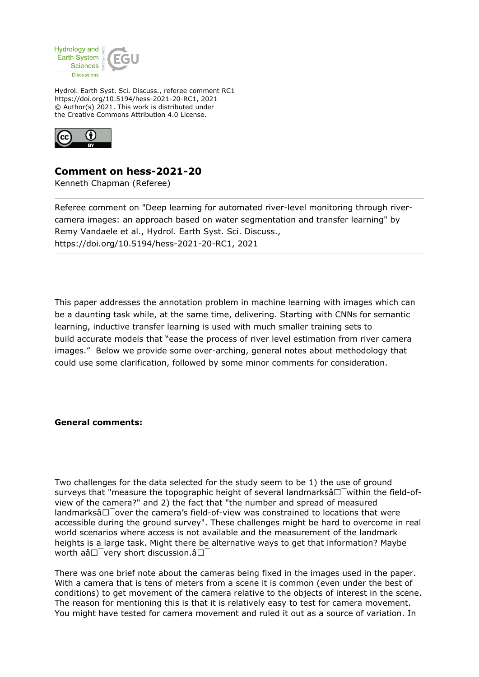

Hydrol. Earth Syst. Sci. Discuss., referee comment RC1 https://doi.org/10.5194/hess-2021-20-RC1, 2021 © Author(s) 2021. This work is distributed under the Creative Commons Attribution 4.0 License.



## **Comment on hess-2021-20**

Kenneth Chapman (Referee)

Referee comment on "Deep learning for automated river-level monitoring through rivercamera images: an approach based on water segmentation and transfer learning" by Remy Vandaele et al., Hydrol. Earth Syst. Sci. Discuss., https://doi.org/10.5194/hess-2021-20-RC1, 2021

This paper addresses the annotation problem in machine learning with images which can be a daunting task while, at the same time, delivering. Starting with CNNs for semantic learning, inductive transfer learning is used with much smaller training sets to build accurate models that "ease the process of river level estimation from river camera images." Below we provide some over-arching, general notes about methodology that could use some clarification, followed by some minor comments for consideration.

## **General comments:**

Two challenges for the data selected for the study seem to be 1) the use of ground surveys that "measure the topographic height of several landmarks $\hat{a}\Box$  within the field-ofview of the camera?" and 2) the fact that "the number and spread of measured landmarksâ $\square$  over the camera's field-of-view was constrained to locations that were accessible during the ground survey". These challenges might be hard to overcome in real world scenarios where access is not available and the measurement of the landmark heights is a large task. Might there be alternative ways to get that information? Maybe worth  $a\hat{a}\Box$  very short discussion. $\hat{a}\Box$ 

There was one brief note about the cameras being fixed in the images used in the paper. With a camera that is tens of meters from a scene it is common (even under the best of conditions) to get movement of the camera relative to the objects of interest in the scene. The reason for mentioning this is that it is relatively easy to test for camera movement. You might have tested for camera movement and ruled it out as a source of variation. In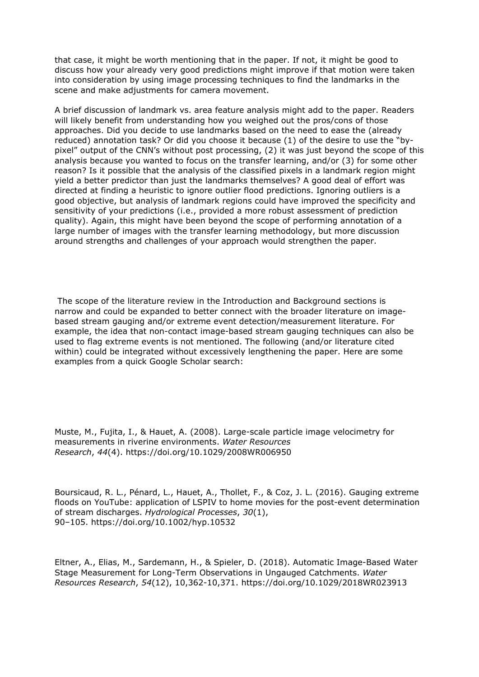that case, it might be worth mentioning that in the paper. If not, it might be good to discuss how your already very good predictions might improve if that motion were taken into consideration by using image processing techniques to find the landmarks in the scene and make adjustments for camera movement.

A brief discussion of landmark vs. area feature analysis might add to the paper. Readers will likely benefit from understanding how you weighed out the pros/cons of those approaches. Did you decide to use landmarks based on the need to ease the (already reduced) annotation task? Or did you choose it because (1) of the desire to use the "bypixel" output of the CNN's without post processing, (2) it was just beyond the scope of this analysis because you wanted to focus on the transfer learning, and/or (3) for some other reason? Is it possible that the analysis of the classified pixels in a landmark region might yield a better predictor than just the landmarks themselves? A good deal of effort was directed at finding a heuristic to ignore outlier flood predictions. Ignoring outliers is a good objective, but analysis of landmark regions could have improved the specificity and sensitivity of your predictions (i.e., provided a more robust assessment of prediction quality). Again, this might have been beyond the scope of performing annotation of a large number of images with the transfer learning methodology, but more discussion around strengths and challenges of your approach would strengthen the paper.

 The scope of the literature review in the Introduction and Background sections is narrow and could be expanded to better connect with the broader literature on imagebased stream gauging and/or extreme event detection/measurement literature. For example, the idea that non-contact image-based stream gauging techniques can also be used to flag extreme events is not mentioned. The following (and/or literature cited within) could be integrated without excessively lengthening the paper. Here are some examples from a quick Google Scholar search:

Muste, M., Fujita, I., & Hauet, A. (2008). Large-scale particle image velocimetry for measurements in riverine environments. *Water Resources Research*, *44*(4). https://doi.org/10.1029/2008WR006950

Boursicaud, R. L., Pénard, L., Hauet, A., Thollet, F., & Coz, J. L. (2016). Gauging extreme floods on YouTube: application of LSPIV to home movies for the post-event determination of stream discharges. *Hydrological Processes*, *30*(1), 90–105. https://doi.org/10.1002/hyp.10532

Eltner, A., Elias, M., Sardemann, H., & Spieler, D. (2018). Automatic Image-Based Water Stage Measurement for Long-Term Observations in Ungauged Catchments. *Water Resources Research*, *54*(12), 10,362-10,371. https://doi.org/10.1029/2018WR023913